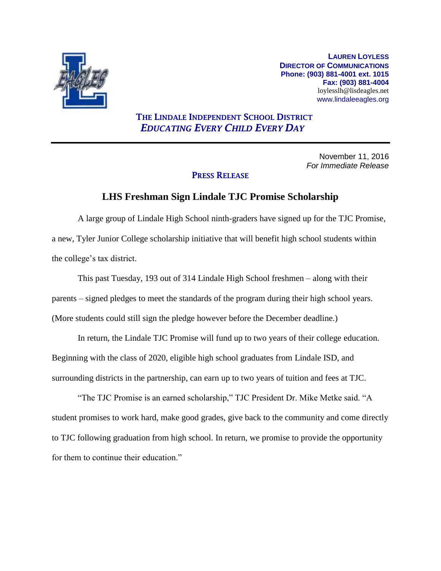

**LAUREN LOYLESS DIRECTOR OF COMMUNICATIONS Phone: (903) 881-4001 ext. 1015 Fax: (903) 881-4004** loylesslh@lisdeagles.net www.lindaleeagles.org

## **THE LINDALE INDEPENDENT SCHOOL DISTRICT** *EDUCATING EVERY CHILD EVERY DAY*

November 11, 2016 *For Immediate Release*

## **PRESS RELEASE**

## **LHS Freshman Sign Lindale TJC Promise Scholarship**

A large group of Lindale High School ninth-graders have signed up for the TJC Promise, a new, Tyler Junior College scholarship initiative that will benefit high school students within the college's tax district.

This past Tuesday, 193 out of 314 Lindale High School freshmen – along with their parents – signed pledges to meet the standards of the program during their high school years. (More students could still sign the pledge however before the December deadline.)

In return, the Lindale TJC Promise will fund up to two years of their college education. Beginning with the class of 2020, eligible high school graduates from Lindale ISD, and surrounding districts in the partnership, can earn up to two years of tuition and fees at TJC.

"The TJC Promise is an earned scholarship," TJC President Dr. Mike Metke said. "A student promises to work hard, make good grades, give back to the community and come directly to TJC following graduation from high school. In return, we promise to provide the opportunity for them to continue their education."